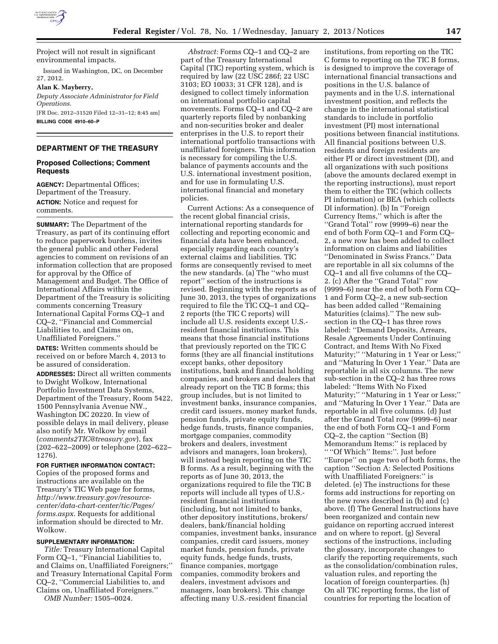

Project will not result in significant environmental impacts.

Issued in Washington, DC, on December 27, 2012.

**Alan K. Mayberry,** 

*Deputy Associate Administrator for Field Operations.*  [FR Doc. 2012–31520 Filed 12–31–12; 8:45 am]

**BILLING CODE 4910–60–P** 

# **DEPARTMENT OF THE TREASURY**

### **Proposed Collections; Comment Requests**

**AGENCY:** Departmental Offices; Department of the Treasury. **ACTION:** Notice and request for comments.

**SUMMARY:** The Department of the Treasury, as part of its continuing effort to reduce paperwork burdens, invites the general public and other Federal agencies to comment on revisions of an information collection that are proposed for approval by the Office of Management and Budget. The Office of International Affairs within the Department of the Treasury is soliciting comments concerning Treasury International Capital Forms CQ–1 and CQ–2, ''Financial and Commercial Liabilities to, and Claims on, Unaffiliated Foreigners.''

**DATES:** Written comments should be received on or before March 4, 2013 to be assured of consideration.

**ADDRESSES:** Direct all written comments to Dwight Wolkow, International Portfolio Investment Data Systems, Department of the Treasury, Room 5422, 1500 Pennsylvania Avenue NW., Washington DC 20220. In view of possible delays in mail delivery, please also notify Mr. Wolkow by email (*[comments2TIC@treasury.gov](mailto:comments2TIC@treasury.gov)*), fax (202–622–2009) or telephone (202–622– 1276).

**FOR FURTHER INFORMATION CONTACT:**  Copies of the proposed forms and instructions are available on the Treasury's TIC Web page for forms, *[http://www.treasury.gov/resource](http://www.treasury.gov/resource-center/data-chart-center/tic/Pages/forms.aspx)[center/data-chart-center/tic/Pages/](http://www.treasury.gov/resource-center/data-chart-center/tic/Pages/forms.aspx)  [forms.aspx.](http://www.treasury.gov/resource-center/data-chart-center/tic/Pages/forms.aspx)* Requests for additional information should be directed to Mr. Wolkow.

### **SUPPLEMENTARY INFORMATION:**

*Title:* Treasury International Capital Form CQ–1, ''Financial Liabilities to, and Claims on, Unaffiliated Foreigners;'' and Treasury International Capital Form CQ–2, ''Commercial Liabilities to, and Claims on, Unaffiliated Foreigners.''

*OMB Number:* 1505–0024.

*Abstract:* Forms CQ–1 and CQ–2 are part of the Treasury International Capital (TIC) reporting system, which is required by law (22 USC 286f; 22 USC 3103; EO 10033; 31 CFR 128), and is designed to collect timely information on international portfolio capital movements. Forms CQ–1 and CQ–2 are quarterly reports filed by nonbanking and non-securities broker and dealer enterprises in the U.S. to report their international portfolio transactions with unaffiliated foreigners. This information is necessary for compiling the U.S. balance of payments accounts and the U.S. international investment position, and for use in formulating U.S. international financial and monetary policies.

Current Actions: As a consequence of the recent global financial crisis, international reporting standards for collecting and reporting economic and financial data have been enhanced, especially regarding each country's external claims and liabilities. TIC forms are consequently revised to meet the new standards. (a) The ''who must report'' section of the instructions is revised. Beginning with the reports as of June 30, 2013, the types of organizations required to file the TIC CQ–1 and CQ– 2 reports (the TIC C reports) will include all U.S. residents except U.S. resident financial institutions. This means that those financial institutions that previously reported on the TIC C forms (they are all financial institutions except banks, other depository institutions, bank and financial holding companies, and brokers and dealers that already report on the TIC B forms; this group includes, but is not limited to investment banks, insurance companies, credit card issuers, money market funds, pension funds, private equity funds, hedge funds, trusts, finance companies, mortgage companies, commodity brokers and dealers, investment advisors and managers, loan brokers), will instead begin reporting on the TIC B forms. As a result, beginning with the reports as of June 30, 2013, the organizations required to file the TIC B reports will include all types of U.S. resident financial institutions (including, but not limited to banks, other depository institutions, brokers/ dealers, bank/financial holding companies, investment banks, insurance companies, credit card issuers, money market funds, pension funds, private equity funds, hedge funds, trusts, finance companies, mortgage companies, commodity brokers and dealers, investment advisors and managers, loan brokers). This change affecting many U.S.-resident financial

institutions, from reporting on the TIC C forms to reporting on the TIC B forms, is designed to improve the coverage of international financial transactions and positions in the U.S. balance of payments and in the U.S. international investment position, and reflects the change in the international statistical standards to include in portfolio investment (PI) most international positions between financial institutions. All financial positions between U.S. residents and foreign residents are either PI or direct investment (DI), and all organizations with such positions (above the amounts declared exempt in the reporting instructions), must report them to either the TIC (which collects PI information) or BEA (which collects DI information). (b) In ''Foreign Currency Items,'' which is after the ''Grand Total'' row (9999–6) near the end of both Form CQ–1 and Form CQ– 2, a new row has been added to collect information on claims and liabilities ''Denominated in Swiss Francs.'' Data are reportable in all six columns of the CQ–1 and all five columns of the CQ– 2. (c) After the ''Grand Total'' row (9999–6) near the end of both Form CQ– 1 and Form CQ–2, a new sub-section has been added called ''Remaining Maturities (claims).'' The new subsection in the CQ–1 has three rows labeled: ''Demand Deposits, Arrears, Resale Agreements Under Continuing Contract, and Items With No Fixed Maturity;" "Maturing in 1 Year or Less;" and ''Maturing In Over 1 Year.'' Data are reportable in all six columns. The new sub-section in the CQ–2 has three rows labeled: ''Items With No Fixed Maturity;" "Maturing in 1 Year or Less;" and ''Maturing In Over 1 Year.'' Data are reportable in all five columns. (d) Just after the Grand Total row (9999–6) near the end of both Form CQ–1 and Form CQ–2, the caption ''Section (B) Memorandum Items:'' is replaced by '' ''Of Which'' Items:''. Just before ''Europe'' on page two of both forms, the caption ''Section A: Selected Positions with Unaffiliated Foreigners:'' is deleted. (e) The instructions for these forms add instructions for reporting on the new rows described in (b) and (c) above. (f) The General Instructions have been reorganized and contain new guidance on reporting accrued interest and on where to report. (g) Several sections of the instructions, including the glossary, incorporate changes to clarify the reporting requirements, such as the consolidation/combination rules, valuation rules, and reporting the location of foreign counterparties. (h) On all TIC reporting forms, the list of countries for reporting the location of